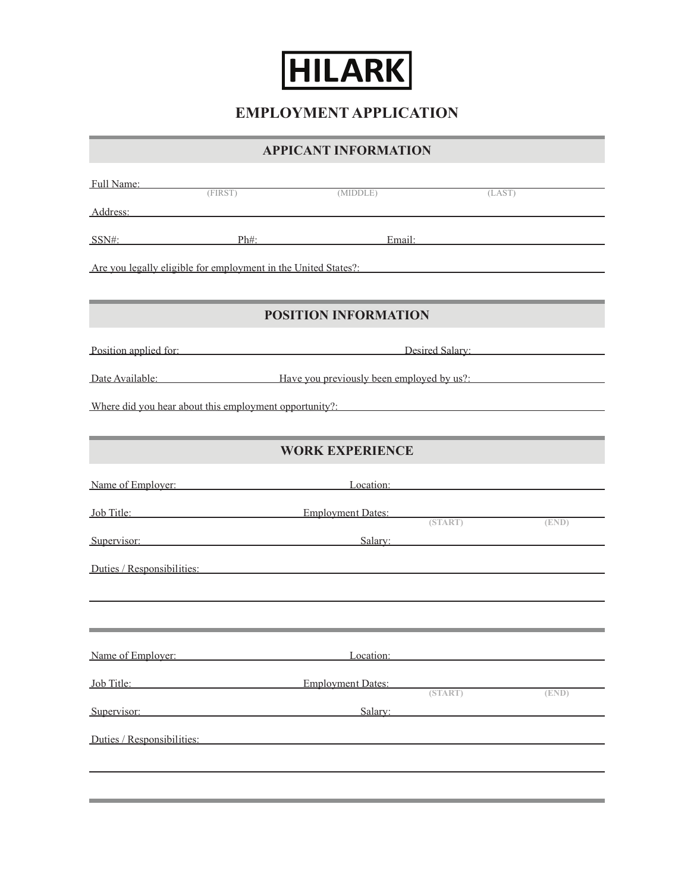

**EMPLOYMENT APPLICATION**

**APPICANT INFORMATION**

| Address: Andreas Address: Address: Address: Address: Address: Address: Address: Address: Address: Address: Address: Address: Address: Address: Address: Address: Address: Address: Address: Address: Address: Address: Address<br><b>POSITION INFORMATION</b><br><b>WORK EXPERIENCE</b><br>(END)<br>Location:<br><b>Employment Dates:</b><br>(START)<br>(END)<br>Salarv:                                                                 | <b>Full Name:</b> (FIRST) |          |        |
|------------------------------------------------------------------------------------------------------------------------------------------------------------------------------------------------------------------------------------------------------------------------------------------------------------------------------------------------------------------------------------------------------------------------------------------|---------------------------|----------|--------|
|                                                                                                                                                                                                                                                                                                                                                                                                                                          |                           | (MIDDLE) | (LAST) |
|                                                                                                                                                                                                                                                                                                                                                                                                                                          |                           |          |        |
| Are you legally eligible for employment in the United States?                                                                                                                                                                                                                                                                                                                                                                            | $SSN#$ :                  |          |        |
|                                                                                                                                                                                                                                                                                                                                                                                                                                          |                           |          |        |
|                                                                                                                                                                                                                                                                                                                                                                                                                                          |                           |          |        |
| Position applied for: Desired Salary: Desired Salary:<br>Date Available: Have you previously been employed by us?:<br>Where did you hear about this employment opportunity?:                                                                                                                                                                                                                                                             |                           |          |        |
|                                                                                                                                                                                                                                                                                                                                                                                                                                          |                           |          |        |
|                                                                                                                                                                                                                                                                                                                                                                                                                                          |                           |          |        |
| Name of Employer: Location: Location:<br><b>Iob Title:</b> Employment Dates: (START)<br><b>Supervisor:</b> Salary: Salary: Salary: Salary: Salary: Salary: Salary: Salary: Salary: Salary: Salary: Salary: Salary: Salary: Salary: Salary: Salary: Salary: Salary: Salary: Salary: Salary: Salary: Salary: Salary: Salary:<br>Duties / Responsibilities:<br>Name of Employer:<br>Job Title:<br>Supervisor:<br>Duties / Responsibilities: |                           |          |        |
|                                                                                                                                                                                                                                                                                                                                                                                                                                          |                           |          |        |
|                                                                                                                                                                                                                                                                                                                                                                                                                                          |                           |          |        |
|                                                                                                                                                                                                                                                                                                                                                                                                                                          |                           |          |        |
|                                                                                                                                                                                                                                                                                                                                                                                                                                          |                           |          |        |
|                                                                                                                                                                                                                                                                                                                                                                                                                                          |                           |          |        |
|                                                                                                                                                                                                                                                                                                                                                                                                                                          |                           |          |        |
|                                                                                                                                                                                                                                                                                                                                                                                                                                          |                           |          |        |
|                                                                                                                                                                                                                                                                                                                                                                                                                                          |                           |          |        |
|                                                                                                                                                                                                                                                                                                                                                                                                                                          |                           |          |        |
|                                                                                                                                                                                                                                                                                                                                                                                                                                          |                           |          |        |
|                                                                                                                                                                                                                                                                                                                                                                                                                                          |                           |          |        |
|                                                                                                                                                                                                                                                                                                                                                                                                                                          |                           |          |        |
|                                                                                                                                                                                                                                                                                                                                                                                                                                          |                           |          |        |
|                                                                                                                                                                                                                                                                                                                                                                                                                                          |                           |          |        |
|                                                                                                                                                                                                                                                                                                                                                                                                                                          |                           |          |        |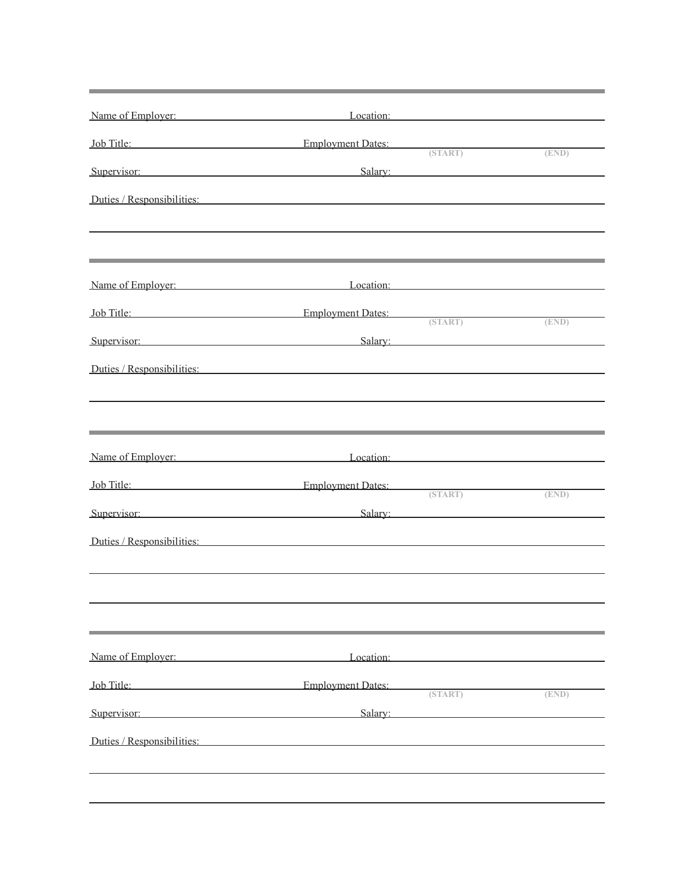| Name of Employer:                                                                                                                                                                                                              | Location:         |       |
|--------------------------------------------------------------------------------------------------------------------------------------------------------------------------------------------------------------------------------|-------------------|-------|
| Job Title: Employment Dates: (START)                                                                                                                                                                                           |                   | (END) |
| Supervisor: Salary: Salary: Salary: Salary: Salary: Salary: Salary: Salary: Salary: Salary: Salary: Salary: Salary: Salary: Salary: Salary: Salary: Salary: Salary: Salary: Salary: Salary: Salary: Salary: Salary: Salary: Sa |                   |       |
| Duties / Responsibilities:                                                                                                                                                                                                     |                   |       |
|                                                                                                                                                                                                                                |                   |       |
| Name of Employer:                                                                                                                                                                                                              | Location:         |       |
| Job Title: Employment Dates:                                                                                                                                                                                                   |                   |       |
| Supervisor: Salary: Salary:                                                                                                                                                                                                    | (START)           | (END) |
| Duties / Responsibilities:                                                                                                                                                                                                     |                   |       |
|                                                                                                                                                                                                                                |                   |       |
|                                                                                                                                                                                                                                |                   |       |
|                                                                                                                                                                                                                                |                   |       |
| Name of Employer: Location: Location:                                                                                                                                                                                          |                   |       |
| Job Title: Employment Dates:                                                                                                                                                                                                   | (START)           | (END) |
| Supervisor: Salary: Salary:                                                                                                                                                                                                    |                   |       |
| Duties / Responsibilities:                                                                                                                                                                                                     |                   |       |
|                                                                                                                                                                                                                                |                   |       |
|                                                                                                                                                                                                                                |                   |       |
|                                                                                                                                                                                                                                |                   |       |
| Name of Employer:                                                                                                                                                                                                              | Location:         |       |
| Job Title: Employment Dates:                                                                                                                                                                                                   | $(START)$ $(END)$ |       |
| Supervisor:                                                                                                                                                                                                                    | Salary: Salary:   |       |
| Duties / Responsibilities:                                                                                                                                                                                                     |                   |       |
|                                                                                                                                                                                                                                |                   |       |
|                                                                                                                                                                                                                                |                   |       |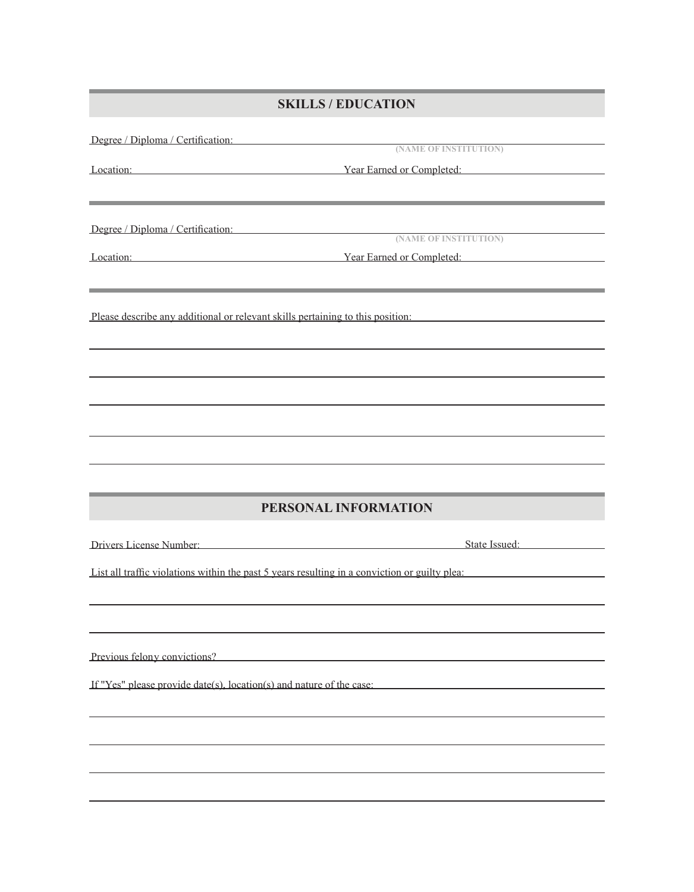## **SKILLS / EDUCATION**

|                                                                                                                      | Degree / Diploma / Certification:<br>(NAME OF INSTITUTION)                                             |  |
|----------------------------------------------------------------------------------------------------------------------|--------------------------------------------------------------------------------------------------------|--|
|                                                                                                                      |                                                                                                        |  |
|                                                                                                                      | Example 1. The Example 1. The Vear Earned or Completed:                                                |  |
| <u> 1989 - Jan Samuel Barbara, marka a shekara ta 1989 - An tsara tsara tsara tsara tsara tsara tsara tsara tsar</u> |                                                                                                        |  |
|                                                                                                                      |                                                                                                        |  |
| Degree / Diploma / Certification: (NAME OF INSTITUTION)                                                              |                                                                                                        |  |
|                                                                                                                      |                                                                                                        |  |
|                                                                                                                      | Example 1. The Contract of Complete Example 1. The Contract of Complete 2. The Contract of Complete 2. |  |
|                                                                                                                      |                                                                                                        |  |
|                                                                                                                      |                                                                                                        |  |
|                                                                                                                      | Please describe any additional or relevant skills pertaining to this position:                         |  |
|                                                                                                                      |                                                                                                        |  |
|                                                                                                                      |                                                                                                        |  |
|                                                                                                                      |                                                                                                        |  |
|                                                                                                                      |                                                                                                        |  |
|                                                                                                                      |                                                                                                        |  |
|                                                                                                                      |                                                                                                        |  |
|                                                                                                                      |                                                                                                        |  |
|                                                                                                                      |                                                                                                        |  |
|                                                                                                                      |                                                                                                        |  |
|                                                                                                                      |                                                                                                        |  |
|                                                                                                                      | PERSONAL INFORMATION                                                                                   |  |
|                                                                                                                      |                                                                                                        |  |
|                                                                                                                      |                                                                                                        |  |
| Drivers License Number:                                                                                              | State Issued:                                                                                          |  |
|                                                                                                                      |                                                                                                        |  |
|                                                                                                                      | List all traffic violations within the past 5 years resulting in a conviction or guilty plea:          |  |
|                                                                                                                      |                                                                                                        |  |
|                                                                                                                      |                                                                                                        |  |
|                                                                                                                      |                                                                                                        |  |
| Previous felony convictions?                                                                                         |                                                                                                        |  |
|                                                                                                                      |                                                                                                        |  |
| If "Yes" please provide $date(s)$ , location(s) and nature of the case:                                              |                                                                                                        |  |
|                                                                                                                      |                                                                                                        |  |
|                                                                                                                      |                                                                                                        |  |
|                                                                                                                      |                                                                                                        |  |
|                                                                                                                      |                                                                                                        |  |
|                                                                                                                      |                                                                                                        |  |